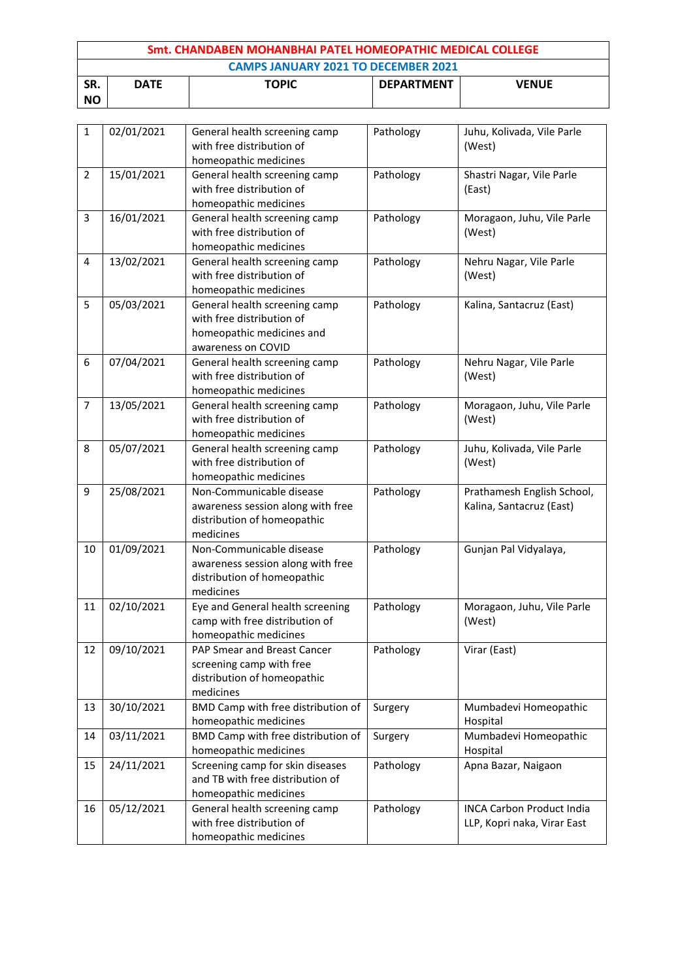| Smt. CHANDABEN MOHANBHAI PATEL HOMEOPATHIC MEDICAL COLLEGE |                                                                  |  |  |  |  |  |
|------------------------------------------------------------|------------------------------------------------------------------|--|--|--|--|--|
|                                                            | <b>CAMPS JANUARY 2021 TO DECEMBER 2021</b>                       |  |  |  |  |  |
| SR.                                                        | <b>TOPIC</b><br><b>DEPARTMENT</b><br><b>VENUE</b><br><b>DATE</b> |  |  |  |  |  |
| <b>NO</b>                                                  |                                                                  |  |  |  |  |  |

| $\mathbf{1}$   | 02/01/2021 | General health screening camp      | Pathology | Juhu, Kolivada, Vile Parle       |
|----------------|------------|------------------------------------|-----------|----------------------------------|
|                |            | with free distribution of          |           | (West)                           |
|                |            | homeopathic medicines              |           |                                  |
| $\overline{2}$ | 15/01/2021 | General health screening camp      | Pathology | Shastri Nagar, Vile Parle        |
|                |            | with free distribution of          |           | (East)                           |
|                |            | homeopathic medicines              |           |                                  |
| 3              | 16/01/2021 | General health screening camp      | Pathology | Moragaon, Juhu, Vile Parle       |
|                |            | with free distribution of          |           | (West)                           |
|                |            | homeopathic medicines              |           |                                  |
| 4              | 13/02/2021 | General health screening camp      | Pathology | Nehru Nagar, Vile Parle          |
|                |            | with free distribution of          |           | (West)                           |
|                |            | homeopathic medicines              |           |                                  |
| 5              | 05/03/2021 | General health screening camp      | Pathology | Kalina, Santacruz (East)         |
|                |            | with free distribution of          |           |                                  |
|                |            | homeopathic medicines and          |           |                                  |
|                |            | awareness on COVID                 |           |                                  |
| 6              | 07/04/2021 | General health screening camp      | Pathology | Nehru Nagar, Vile Parle          |
|                |            | with free distribution of          |           | (West)                           |
|                |            | homeopathic medicines              |           |                                  |
| 7              | 13/05/2021 | General health screening camp      | Pathology | Moragaon, Juhu, Vile Parle       |
|                |            | with free distribution of          |           | (West)                           |
|                |            | homeopathic medicines              |           |                                  |
| 8              | 05/07/2021 | General health screening camp      | Pathology | Juhu, Kolivada, Vile Parle       |
|                |            | with free distribution of          |           | (West)                           |
|                |            | homeopathic medicines              |           |                                  |
| 9              | 25/08/2021 | Non-Communicable disease           | Pathology | Prathamesh English School,       |
|                |            | awareness session along with free  |           | Kalina, Santacruz (East)         |
|                |            | distribution of homeopathic        |           |                                  |
|                |            | medicines                          |           |                                  |
| 10             | 01/09/2021 | Non-Communicable disease           | Pathology | Gunjan Pal Vidyalaya,            |
|                |            | awareness session along with free  |           |                                  |
|                |            | distribution of homeopathic        |           |                                  |
|                |            | medicines                          |           |                                  |
| 11             | 02/10/2021 | Eye and General health screening   | Pathology | Moragaon, Juhu, Vile Parle       |
|                |            | camp with free distribution of     |           | (West)                           |
|                |            | homeopathic medicines              |           |                                  |
| 12             | 09/10/2021 | PAP Smear and Breast Cancer        | Pathology | Virar (East)                     |
|                |            | screening camp with free           |           |                                  |
|                |            | distribution of homeopathic        |           |                                  |
|                |            | medicines                          |           |                                  |
| 13             | 30/10/2021 | BMD Camp with free distribution of | Surgery   | Mumbadevi Homeopathic            |
|                |            | homeopathic medicines              |           | Hospital                         |
| 14             | 03/11/2021 | BMD Camp with free distribution of | Surgery   | Mumbadevi Homeopathic            |
|                |            | homeopathic medicines              |           | Hospital                         |
| 15             | 24/11/2021 | Screening camp for skin diseases   | Pathology | Apna Bazar, Naigaon              |
|                |            | and TB with free distribution of   |           |                                  |
|                |            | homeopathic medicines              |           |                                  |
| 16             | 05/12/2021 | General health screening camp      | Pathology | <b>INCA Carbon Product India</b> |
|                |            | with free distribution of          |           | LLP, Kopri naka, Virar East      |
|                |            | homeopathic medicines              |           |                                  |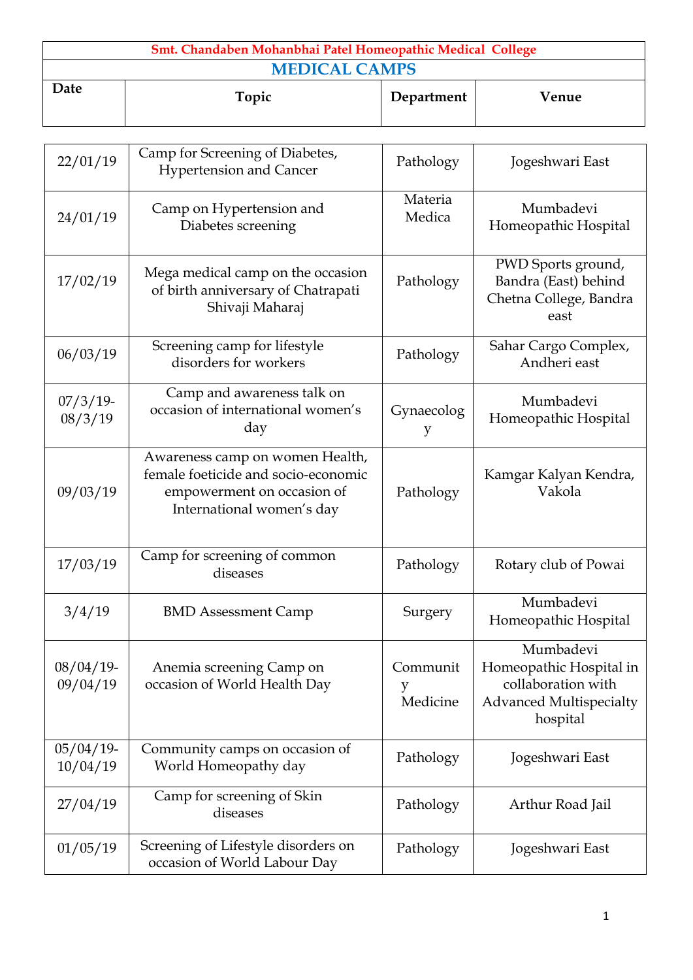| Smt. Chandaben Mohanbhai Patel Homeopathic Medical College |       |            |       |  |
|------------------------------------------------------------|-------|------------|-------|--|
| <b>MEDICAL CAMPS</b>                                       |       |            |       |  |
| Date                                                       | Topic | Department | Venue |  |

| 22/01/19                 | Camp for Screening of Diabetes,<br><b>Hypertension and Cancer</b>                                                                 | Pathology                 | Jogeshwari East                                                                                          |
|--------------------------|-----------------------------------------------------------------------------------------------------------------------------------|---------------------------|----------------------------------------------------------------------------------------------------------|
| 24/01/19                 | Camp on Hypertension and<br>Diabetes screening                                                                                    | Materia<br>Medica         | Mumbadevi<br>Homeopathic Hospital                                                                        |
| 17/02/19                 | Mega medical camp on the occasion<br>of birth anniversary of Chatrapati<br>Shivaji Maharaj                                        | Pathology                 | PWD Sports ground,<br>Bandra (East) behind<br>Chetna College, Bandra<br>east                             |
| 06/03/19                 | Screening camp for lifestyle<br>disorders for workers                                                                             | Pathology                 | Sahar Cargo Complex,<br>Andheri east                                                                     |
| $07/3/19$ -<br>08/3/19   | Camp and awareness talk on<br>occasion of international women's<br>day                                                            | Gynaecolog<br>y           | Mumbadevi<br>Homeopathic Hospital                                                                        |
| 09/03/19                 | Awareness camp on women Health,<br>female foeticide and socio-economic<br>empowerment on occasion of<br>International women's day | Pathology                 | Kamgar Kalyan Kendra,<br>Vakola                                                                          |
| 17/03/19                 | Camp for screening of common<br>diseases                                                                                          | Pathology                 | Rotary club of Powai                                                                                     |
| 3/4/19                   | <b>BMD Assessment Camp</b>                                                                                                        | Surgery                   | Mumbadevi<br>Homeopathic Hospital                                                                        |
| $08/04/19$ -<br>09/04/19 | Anemia screening Camp on<br>occasion of World Health Day                                                                          | Communit<br>y<br>Medicine | Mumbadevi<br>Homeopathic Hospital in<br>collaboration with<br><b>Advanced Multispecialty</b><br>hospital |
| $05/04/19$ -<br>10/04/19 | Community camps on occasion of<br>World Homeopathy day                                                                            | Pathology                 | Jogeshwari East                                                                                          |
| 27/04/19                 | Camp for screening of Skin<br>diseases                                                                                            | Pathology                 | Arthur Road Jail                                                                                         |
| 01/05/19                 | Screening of Lifestyle disorders on<br>occasion of World Labour Day                                                               | Pathology                 | Jogeshwari East                                                                                          |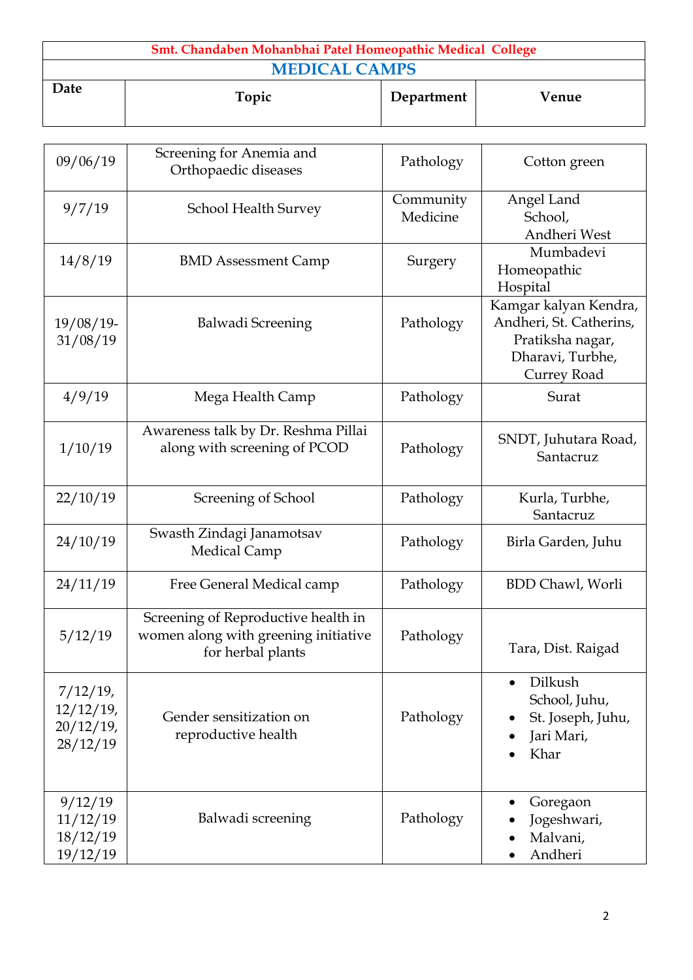| Smt. Chandaben Mohanbhai Patel Homeopathic Medical College |       |            |       |  |
|------------------------------------------------------------|-------|------------|-------|--|
| <b>MEDICAL CAMPS</b>                                       |       |            |       |  |
| Date                                                       | Topic | Department | Venue |  |

| 09/06/19                                                | Screening for Anemia and<br>Orthopaedic diseases                                                 | Pathology             | Cotton green                                                                                            |
|---------------------------------------------------------|--------------------------------------------------------------------------------------------------|-----------------------|---------------------------------------------------------------------------------------------------------|
| 9/7/19                                                  | School Health Survey                                                                             | Community<br>Medicine | Angel Land<br>School,<br>Andheri West                                                                   |
| 14/8/19                                                 | <b>BMD Assessment Camp</b>                                                                       | Surgery               | Mumbadevi<br>Homeopathic<br>Hospital                                                                    |
| $19/08/19$ -<br>31/08/19                                | Balwadi Screening                                                                                | Pathology             | Kamgar kalyan Kendra,<br>Andheri, St. Catherins,<br>Pratiksha nagar,<br>Dharavi, Turbhe,<br>Currey Road |
| 4/9/19                                                  | Mega Health Camp                                                                                 | Pathology             | Surat                                                                                                   |
| 1/10/19                                                 | Awareness talk by Dr. Reshma Pillai<br>along with screening of PCOD                              | Pathology             | SNDT, Juhutara Road,<br>Santacruz                                                                       |
| 22/10/19                                                | Screening of School                                                                              | Pathology             | Kurla, Turbhe,<br>Santacruz                                                                             |
| 24/10/19                                                | Swasth Zindagi Janamotsav<br>Medical Camp                                                        | Pathology             | Birla Garden, Juhu                                                                                      |
| 24/11/19                                                | Free General Medical camp                                                                        | Pathology             | <b>BDD Chawl</b> , Worli                                                                                |
| 5/12/19                                                 | Screening of Reproductive health in<br>women along with greening initiative<br>for herbal plants | Pathology             | Tara, Dist. Raigad                                                                                      |
| $7/12/19$ ,<br>$12/12/19$ ,<br>$20/12/19$ ,<br>28/12/19 | Gender sensitization on<br>reproductive health                                                   | Pathology             | Dilkush<br>$\bullet$<br>School, Juhu,<br>St. Joseph, Juhu,<br>Jari Mari,<br>Khar                        |
| 9/12/19<br>11/12/19<br>18/12/19<br>19/12/19             | Balwadi screening                                                                                | Pathology             | Goregaon<br>Jogeshwari,<br>Malvani,<br>Andheri                                                          |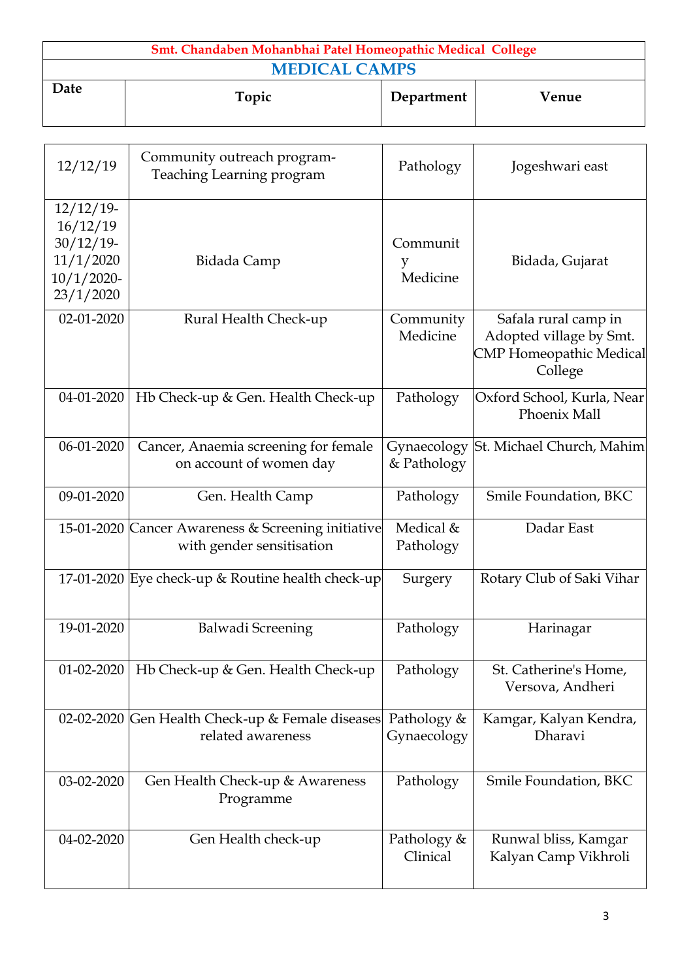| Smt. Chandaben Mohanbhai Patel Homeopathic Medical College |       |            |       |  |
|------------------------------------------------------------|-------|------------|-------|--|
| <b>MEDICAL CAMPS</b>                                       |       |            |       |  |
| Date                                                       | Topic | Department | Venue |  |

| 12/12/19                                                                            | Community outreach program-<br>Teaching Learning program                        | Pathology                  | Jogeshwari east                                                                              |
|-------------------------------------------------------------------------------------|---------------------------------------------------------------------------------|----------------------------|----------------------------------------------------------------------------------------------|
| $12/12/19$ -<br>16/12/19<br>$30/12/19$ -<br>11/1/2020<br>$10/1/2020$ -<br>23/1/2020 | Bidada Camp                                                                     | Communit<br>y<br>Medicine  | Bidada, Gujarat                                                                              |
| 02-01-2020                                                                          | Rural Health Check-up                                                           | Community<br>Medicine      | Safala rural camp in<br>Adopted village by Smt.<br><b>CMP Homeopathic Medical</b><br>College |
| 04-01-2020                                                                          | Hb Check-up & Gen. Health Check-up                                              | Pathology                  | Oxford School, Kurla, Near<br>Phoenix Mall                                                   |
| $06-01-2020$                                                                        | Cancer, Anaemia screening for female<br>on account of women day                 | Gynaecology<br>& Pathology | St. Michael Church, Mahim                                                                    |
| 09-01-2020                                                                          | Gen. Health Camp                                                                | Pathology                  | Smile Foundation, BKC                                                                        |
|                                                                                     | 15-01-2020 Cancer Awareness & Screening initiative<br>with gender sensitisation | Medical &<br>Pathology     | Dadar East                                                                                   |
|                                                                                     | 17-01-2020 Eye check-up & Routine health check-up                               | Surgery                    | Rotary Club of Saki Vihar                                                                    |
| 19-01-2020                                                                          | Balwadi Screening                                                               | Pathology                  | Harinagar                                                                                    |
| $01 - 02 - 2020$                                                                    | Hb Check-up & Gen. Health Check-up                                              | Pathology                  | St. Catherine's Home,<br>Versova, Andheri                                                    |
|                                                                                     | 02-02-2020 Gen Health Check-up & Female diseases<br>related awareness           | Pathology &<br>Gynaecology | Kamgar, Kalyan Kendra,<br>Dharavi                                                            |
| 03-02-2020                                                                          | Gen Health Check-up & Awareness<br>Programme                                    | Pathology                  | Smile Foundation, BKC                                                                        |
| 04-02-2020                                                                          | Gen Health check-up                                                             | Pathology &<br>Clinical    | Runwal bliss, Kamgar<br>Kalyan Camp Vikhroli                                                 |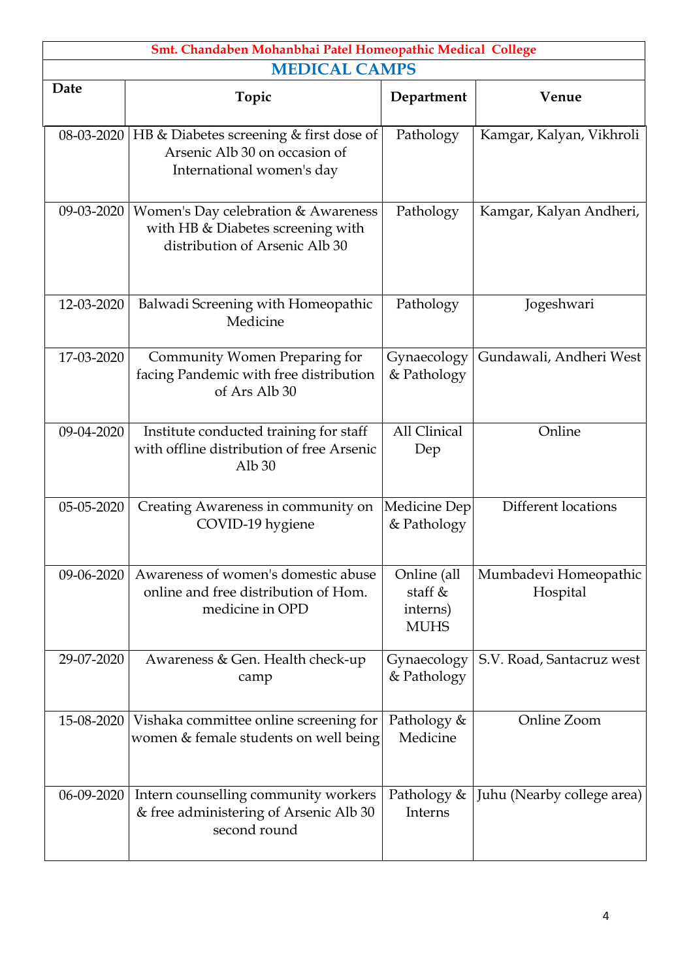| Smt. Chandaben Mohanbhai Patel Homeopathic Medical College |                                                                                                            |                                                     |                                   |  |  |
|------------------------------------------------------------|------------------------------------------------------------------------------------------------------------|-----------------------------------------------------|-----------------------------------|--|--|
| <b>MEDICAL CAMPS</b>                                       |                                                                                                            |                                                     |                                   |  |  |
| Date                                                       | Topic                                                                                                      | Department                                          | Venue                             |  |  |
| 08-03-2020                                                 | HB & Diabetes screening & first dose of<br>Arsenic Alb 30 on occasion of<br>International women's day      | Pathology                                           | Kamgar, Kalyan, Vikhroli          |  |  |
| 09-03-2020                                                 | Women's Day celebration & Awareness<br>with HB & Diabetes screening with<br>distribution of Arsenic Alb 30 | Pathology                                           | Kamgar, Kalyan Andheri,           |  |  |
| 12-03-2020                                                 | Balwadi Screening with Homeopathic<br>Medicine                                                             | Pathology                                           | Jogeshwari                        |  |  |
| 17-03-2020                                                 | Community Women Preparing for<br>facing Pandemic with free distribution<br>of Ars Alb 30                   | Gynaecology<br>& Pathology                          | Gundawali, Andheri West           |  |  |
| 09-04-2020                                                 | Institute conducted training for staff<br>with offline distribution of free Arsenic<br>Alb <sub>30</sub>   | All Clinical<br>Dep                                 | Online                            |  |  |
| 05-05-2020                                                 | Creating Awareness in community on<br>COVID-19 hygiene                                                     | Medicine Dep<br>& Pathology                         | Different locations               |  |  |
| 09-06-2020                                                 | Awareness of women's domestic abuse<br>online and free distribution of Hom.<br>medicine in OPD             | Online (all<br>staff $&$<br>interns)<br><b>MUHS</b> | Mumbadevi Homeopathic<br>Hospital |  |  |
| 29-07-2020                                                 | Awareness & Gen. Health check-up<br>camp                                                                   | Gynaecology<br>& Pathology                          | S.V. Road, Santacruz west         |  |  |
| 15-08-2020                                                 | Vishaka committee online screening for<br>women & female students on well being                            | Pathology &<br>Medicine                             | Online Zoom                       |  |  |
| 06-09-2020                                                 | Intern counselling community workers<br>& free administering of Arsenic Alb 30<br>second round             | Pathology &<br>Interns                              | Juhu (Nearby college area)        |  |  |